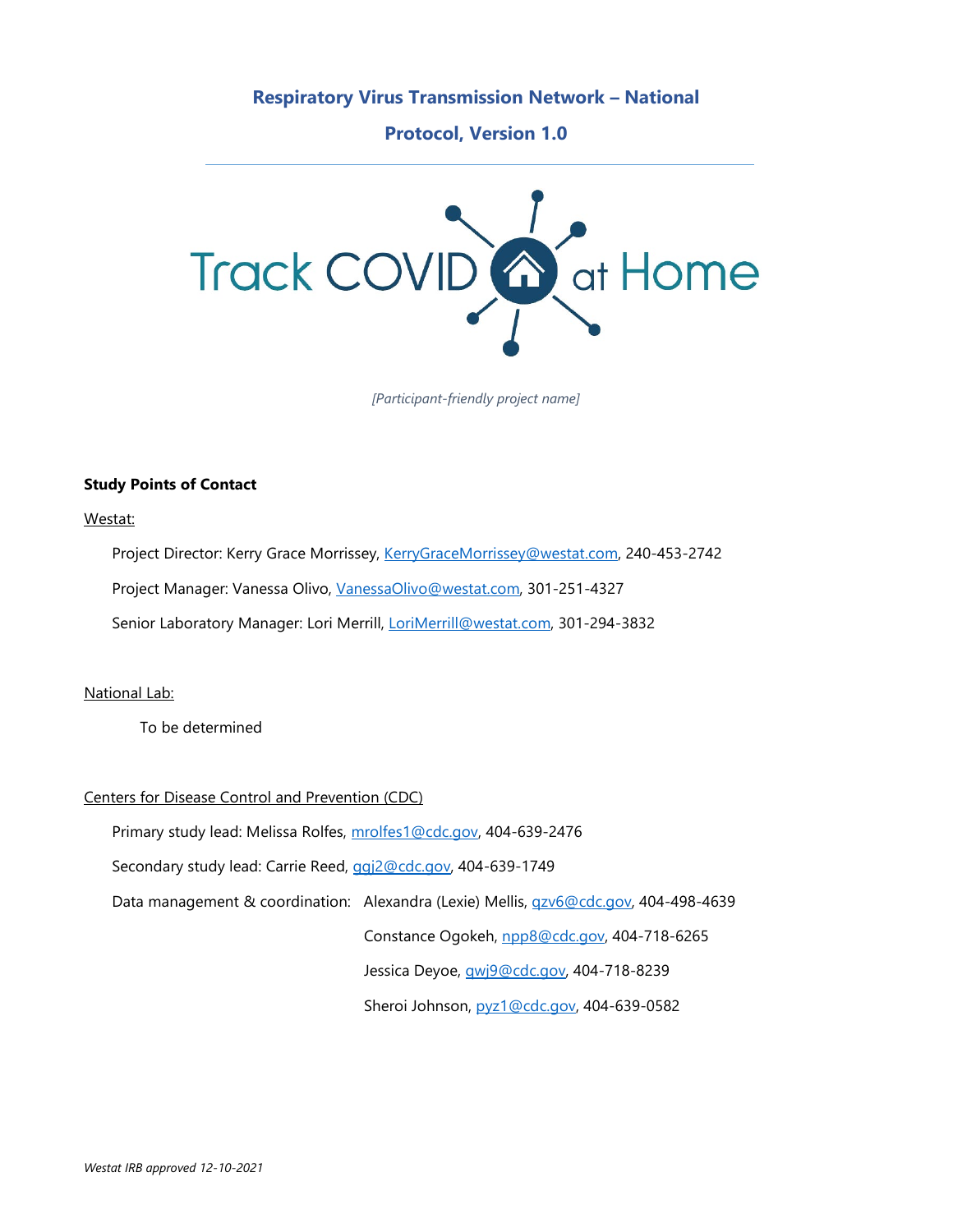#### **Respiratory Virus Transmission Network – National**

**Protocol, Version 1.0**



*[Participant-friendly project name]* 

#### **Study Points of Contact**

Westat:

Project Director: Kerry Grace Morrissey, [KerryGraceMorrissey@westat.com,](mailto:KerryGraceMorrissey@westat.com) 240-453-2742 Project Manager: Vanessa Olivo, [VanessaOlivo@westat.com,](mailto:VanessaOlivo@westat.com) 301-251-4327 Senior Laboratory Manager: Lori Merrill, [LoriMerrill@westat.com,](mailto:LoriMerrill@westat.com) 301-294-3832

National Lab:

To be determined

#### Centers for Disease Control and Prevention (CDC)

Primary study lead: Melissa Rolfes, [mrolfes1@cdc.gov,](mailto:mrolfes1@cdc.gov) 404-639-2476

Secondary study lead: Carrie Reed, [ggj2@cdc.gov,](mailto:ggj2@cdc.gov) 404-639-1749

Data management & coordination: Alexandra (Lexie) Mellis, gzv6@cdc.gov, 404-498-4639

Constance Ogokeh, [npp8@cdc.gov,](mailto:npp8@cdc.gov) 404-718-6265

Jessica Deyoe, [qwj9@cdc.gov,](mailto:qwj9@cdc.gov) 404-718-8239

Sheroi Johnson, [pyz1@cdc.gov,](mailto:pyz1@cdc.gov) 404-639-0582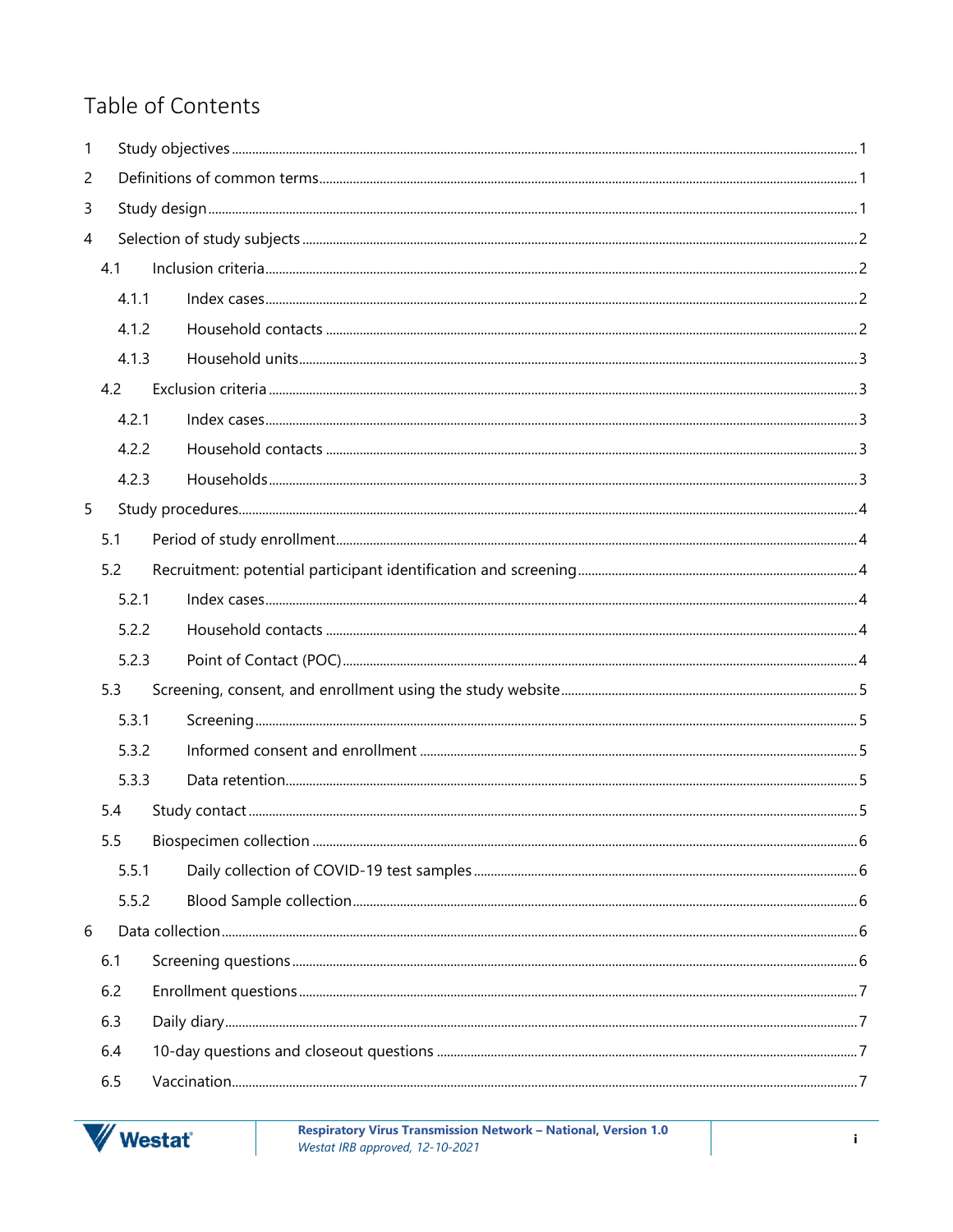# Table of Contents

| 1              |     |       |  |  |  |  |  |  |
|----------------|-----|-------|--|--|--|--|--|--|
| $\overline{c}$ |     |       |  |  |  |  |  |  |
| 3              |     |       |  |  |  |  |  |  |
| $\overline{4}$ |     |       |  |  |  |  |  |  |
|                | 4.1 |       |  |  |  |  |  |  |
|                |     | 4.1.1 |  |  |  |  |  |  |
|                |     | 4.1.2 |  |  |  |  |  |  |
|                |     | 4.1.3 |  |  |  |  |  |  |
|                | 4.2 |       |  |  |  |  |  |  |
|                |     | 4.2.1 |  |  |  |  |  |  |
|                |     | 4.2.2 |  |  |  |  |  |  |
|                |     | 4.2.3 |  |  |  |  |  |  |
| 5              |     |       |  |  |  |  |  |  |
|                | 5.1 |       |  |  |  |  |  |  |
|                | 5.2 |       |  |  |  |  |  |  |
|                |     | 5.2.1 |  |  |  |  |  |  |
|                |     | 5.2.2 |  |  |  |  |  |  |
|                |     | 5.2.3 |  |  |  |  |  |  |
|                | 5.3 |       |  |  |  |  |  |  |
|                |     | 5.3.1 |  |  |  |  |  |  |
|                |     | 5.3.2 |  |  |  |  |  |  |
|                |     | 5.3.3 |  |  |  |  |  |  |
|                | 5.4 |       |  |  |  |  |  |  |
|                | 5.5 |       |  |  |  |  |  |  |
|                |     | 5.5.1 |  |  |  |  |  |  |
|                |     | 5.5.2 |  |  |  |  |  |  |
| 6              |     |       |  |  |  |  |  |  |
|                | 6.1 |       |  |  |  |  |  |  |
|                | 6.2 |       |  |  |  |  |  |  |
|                | 6.3 |       |  |  |  |  |  |  |
|                | 6.4 |       |  |  |  |  |  |  |
|                | 6.5 |       |  |  |  |  |  |  |



Respiratory Virus Transmission Network - National, Version 1.0 Westat IRB approved, 12-10-2021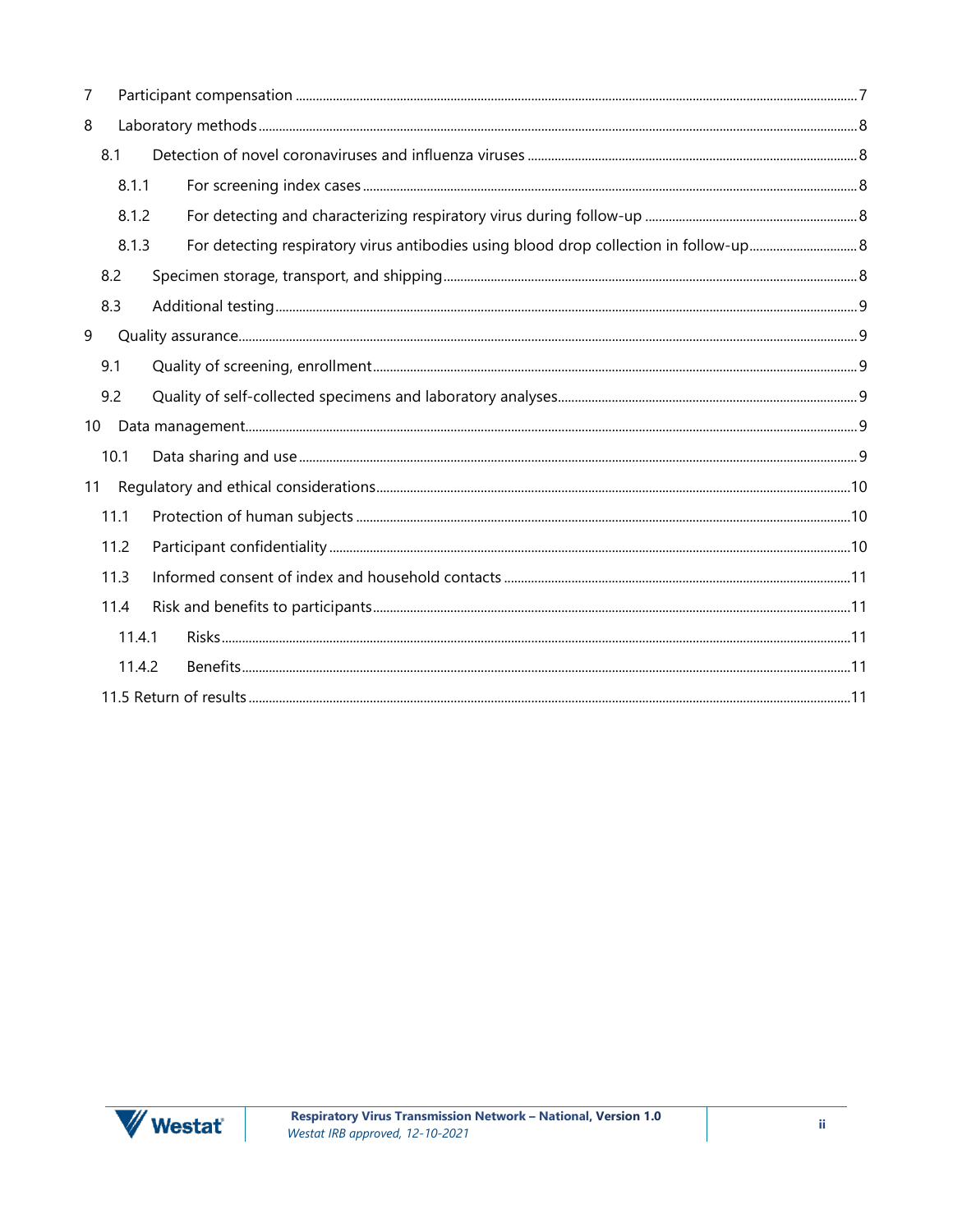| 7  |        |  |  |  |  |
|----|--------|--|--|--|--|
| 8  |        |  |  |  |  |
|    | 8.1    |  |  |  |  |
|    | 8.1.1  |  |  |  |  |
|    | 8.1.2  |  |  |  |  |
|    | 8.1.3  |  |  |  |  |
|    | 8.2    |  |  |  |  |
|    | 8.3    |  |  |  |  |
| 9  |        |  |  |  |  |
|    | 9.1    |  |  |  |  |
|    | 9.2    |  |  |  |  |
| 10 |        |  |  |  |  |
|    | 10.1   |  |  |  |  |
| 11 |        |  |  |  |  |
|    | 11.1   |  |  |  |  |
|    | 11.2   |  |  |  |  |
|    | 11.3   |  |  |  |  |
|    | 11.4   |  |  |  |  |
|    | 11.4.1 |  |  |  |  |
|    | 11.4.2 |  |  |  |  |
|    |        |  |  |  |  |

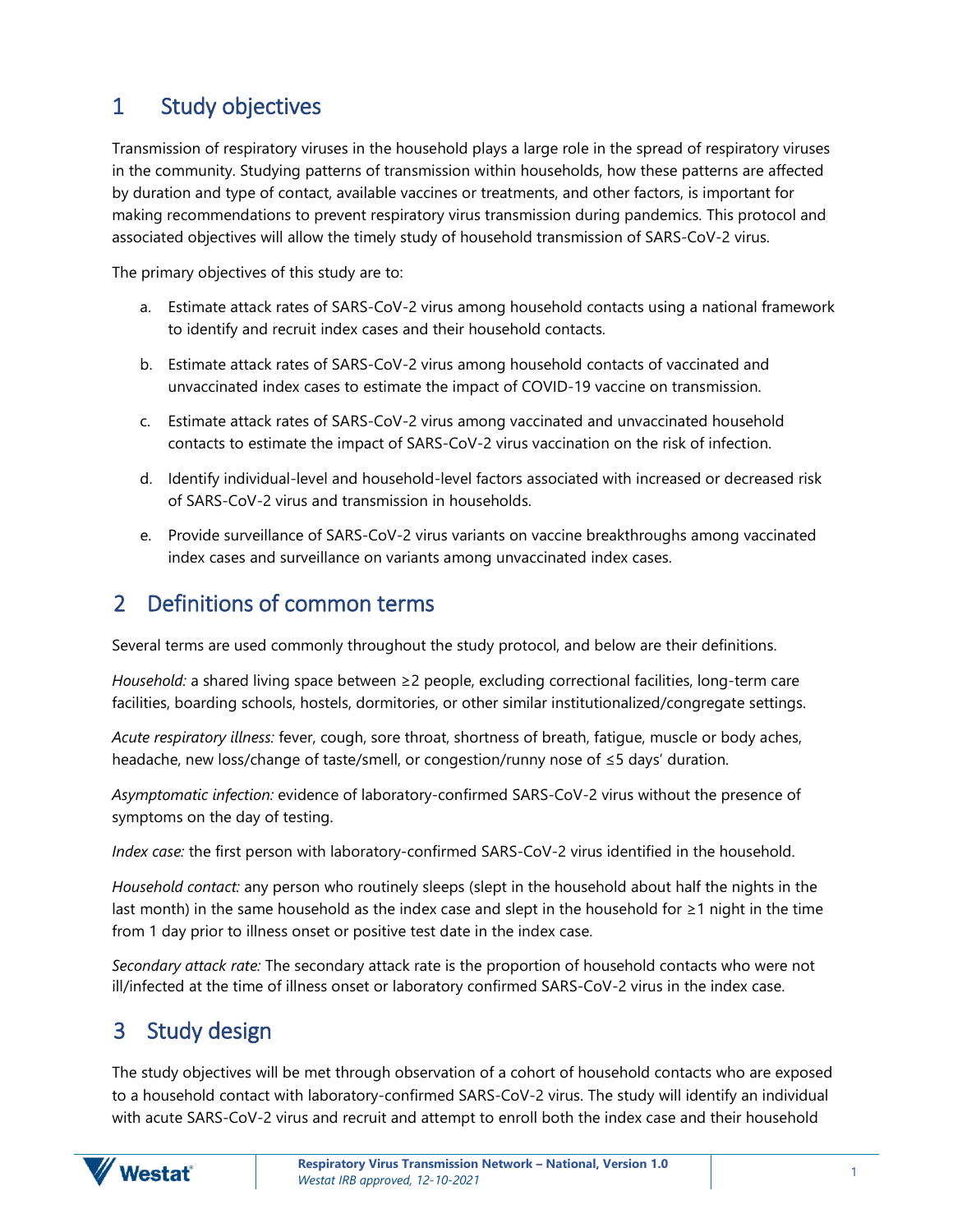# <span id="page-3-0"></span>1 Study objectives

Transmission of respiratory viruses in the household plays a large role in the spread of respiratory viruses in the community. Studying patterns of transmission within households, how these patterns are affected by duration and type of contact, available vaccines or treatments, and other factors, is important for making recommendations to prevent respiratory virus transmission during pandemics. This protocol and associated objectives will allow the timely study of household transmission of SARS-CoV-2 virus.

The primary objectives of this study are to:

- a. Estimate attack rates of SARS-CoV-2 virus among household contacts using a national framework to identify and recruit index cases and their household contacts.
- b. Estimate attack rates of SARS-CoV-2 virus among household contacts of vaccinated and unvaccinated index cases to estimate the impact of COVID-19 vaccine on transmission.
- c. Estimate attack rates of SARS-CoV-2 virus among vaccinated and unvaccinated household contacts to estimate the impact of SARS-CoV-2 virus vaccination on the risk of infection.
- d. Identify individual-level and household-level factors associated with increased or decreased risk of SARS-CoV-2 virus and transmission in households.
- e. Provide surveillance of SARS-CoV-2 virus variants on vaccine breakthroughs among vaccinated index cases and surveillance on variants among unvaccinated index cases.

# <span id="page-3-1"></span>2 Definitions of common terms

Several terms are used commonly throughout the study protocol, and below are their definitions.

*Household:* a shared living space between ≥2 people, excluding correctional facilities, long-term care facilities, boarding schools, hostels, dormitories, or other similar institutionalized/congregate settings.

*Acute respiratory illness:* fever, cough, sore throat, shortness of breath, fatigue, muscle or body aches, headache, new loss/change of taste/smell, or congestion/runny nose of ≤5 days' duration.

*Asymptomatic infection:* evidence of laboratory-confirmed SARS-CoV-2 virus without the presence of symptoms on the day of testing.

*Index case:* the first person with laboratory-confirmed SARS-CoV-2 virus identified in the household.

*Household contact:* any person who routinely sleeps (slept in the household about half the nights in the last month) in the same household as the index case and slept in the household for ≥1 night in the time from 1 day prior to illness onset or positive test date in the index case.

*Secondary attack rate:* The secondary attack rate is the proportion of household contacts who were not ill/infected at the time of illness onset or laboratory confirmed SARS-CoV-2 virus in the index case.

# <span id="page-3-2"></span>3 Study design

The study objectives will be met through observation of a cohort of household contacts who are exposed to a household contact with laboratory-confirmed SARS-CoV-2 virus. The study will identify an individual with acute SARS-CoV-2 virus and recruit and attempt to enroll both the index case and their household

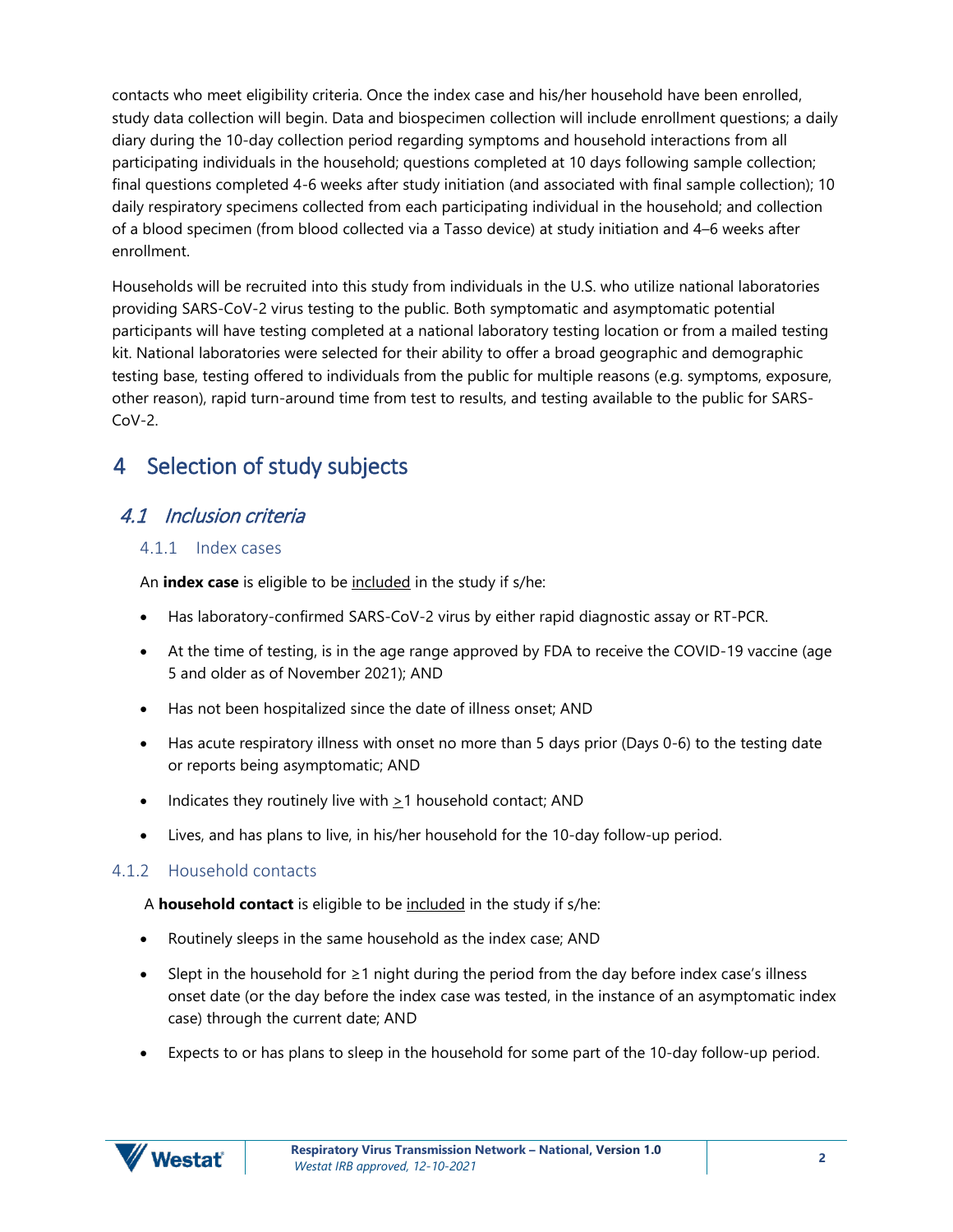contacts who meet eligibility criteria. Once the index case and his/her household have been enrolled, study data collection will begin. Data and biospecimen collection will include enrollment questions; a daily diary during the 10-day collection period regarding symptoms and household interactions from all participating individuals in the household; questions completed at 10 days following sample collection; final questions completed 4-6 weeks after study initiation (and associated with final sample collection); 10 daily respiratory specimens collected from each participating individual in the household; and collection of a blood specimen (from blood collected via a Tasso device) at study initiation and 4–6 weeks after enrollment.

Households will be recruited into this study from individuals in the U.S. who utilize national laboratories providing SARS-CoV-2 virus testing to the public. Both symptomatic and asymptomatic potential participants will have testing completed at a national laboratory testing location or from a mailed testing kit. National laboratories were selected for their ability to offer a broad geographic and demographic testing base, testing offered to individuals from the public for multiple reasons (e.g. symptoms, exposure, other reason), rapid turn-around time from test to results, and testing available to the public for SARS- $Cov-2$ .

# <span id="page-4-0"></span>4 Selection of study subjects

## <span id="page-4-1"></span>4.1 Inclusion criteria

#### <span id="page-4-2"></span>4.1.1 Index cases

An **index case** is eligible to be included in the study if s/he:

- Has laboratory-confirmed SARS-CoV-2 virus by either rapid diagnostic assay or RT-PCR.
- At the time of testing, is in the age range approved by FDA to receive the COVID-19 vaccine (age 5 and older as of November 2021); AND
- Has not been hospitalized since the date of illness onset; AND
- Has acute respiratory illness with onset no more than 5 days prior (Days 0-6) to the testing date or reports being asymptomatic; AND
- Indicates they routinely live with  $\geq 1$  household contact; AND
- Lives, and has plans to live, in his/her household for the 10-day follow-up period.

#### <span id="page-4-3"></span>4.1.2 Household contacts

A **household contact** is eligible to be included in the study if s/he:

- Routinely sleeps in the same household as the index case; AND
- Slept in the household for ≥1 night during the period from the day before index case's illness onset date (or the day before the index case was tested, in the instance of an asymptomatic index case) through the current date; AND
- Expects to or has plans to sleep in the household for some part of the 10-day follow-up period.

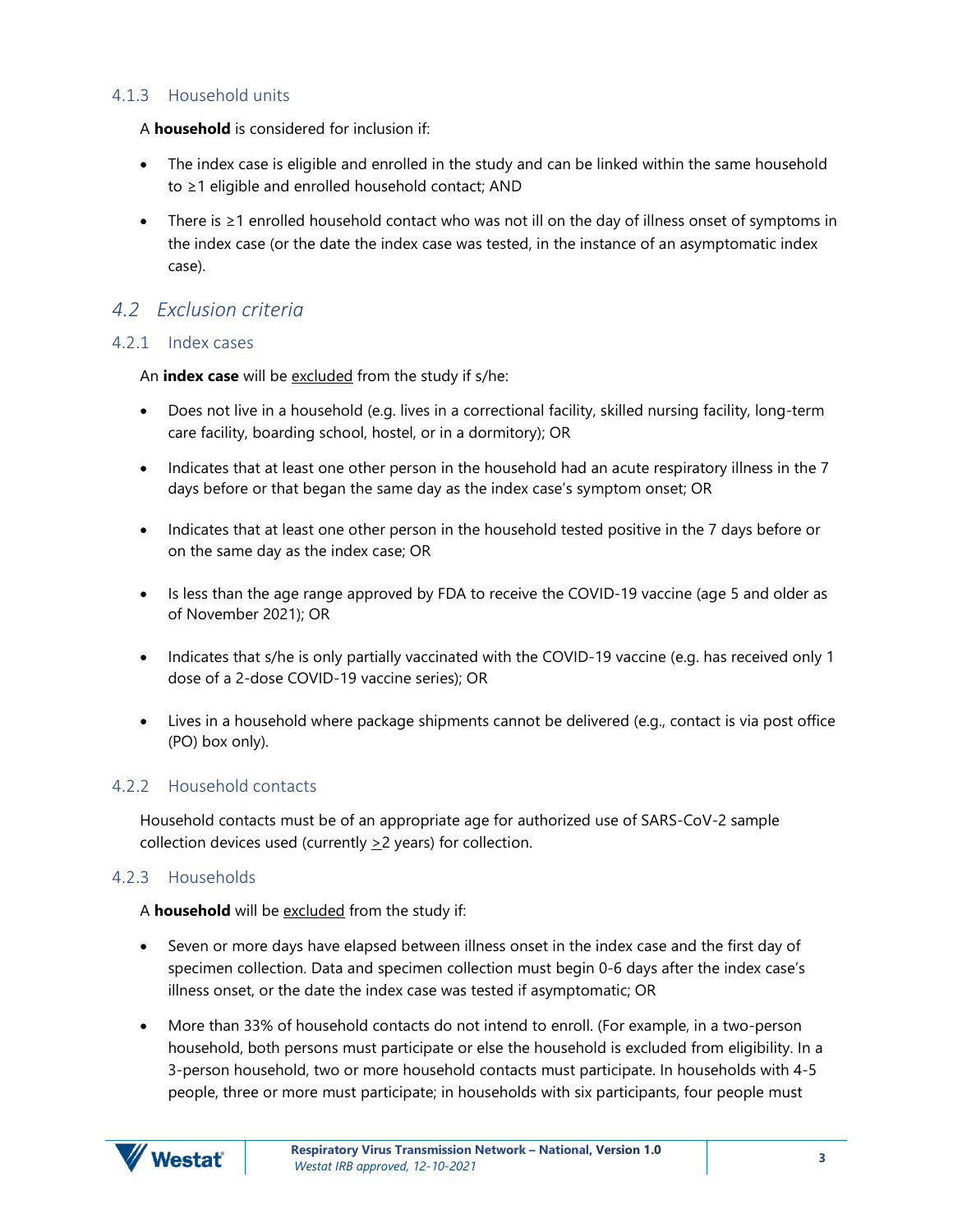#### <span id="page-5-0"></span>4.1.3 Household units

A **household** is considered for inclusion if:

- The index case is eligible and enrolled in the study and can be linked within the same household to ≥1 eligible and enrolled household contact; AND
- There is ≥1 enrolled household contact who was not ill on the day of illness onset of symptoms in the index case (or the date the index case was tested, in the instance of an asymptomatic index case).

#### <span id="page-5-1"></span>*4.2 Exclusion criteria*

#### <span id="page-5-2"></span>4.2.1 Index cases

An **index case** will be excluded from the study if s/he:

- Does not live in a household (e.g. lives in a correctional facility, skilled nursing facility, long-term care facility, boarding school, hostel, or in a dormitory); OR
- Indicates that at least one other person in the household had an acute respiratory illness in the 7 days before or that began the same day as the index case's symptom onset; OR
- Indicates that at least one other person in the household tested positive in the 7 days before or on the same day as the index case; OR
- Is less than the age range approved by FDA to receive the COVID-19 vaccine (age 5 and older as of November 2021); OR
- Indicates that s/he is only partially vaccinated with the COVID-19 vaccine (e.g. has received only 1 dose of a 2-dose COVID-19 vaccine series); OR
- Lives in a household where package shipments cannot be delivered (e.g., contact is via post office (PO) box only).

#### <span id="page-5-3"></span>4.2.2 Household contacts

Household contacts must be of an appropriate age for authorized use of SARS-CoV-2 sample collection devices used (currently  $\geq$  2 years) for collection.

#### <span id="page-5-4"></span>4.2.3 Households

A **household** will be excluded from the study if:

- Seven or more days have elapsed between illness onset in the index case and the first day of specimen collection. Data and specimen collection must begin 0-6 days after the index case's illness onset, or the date the index case was tested if asymptomatic; OR
- More than 33% of household contacts do not intend to enroll. (For example, in a two-person household, both persons must participate or else the household is excluded from eligibility. In a 3-person household, two or more household contacts must participate. In households with 4-5 people, three or more must participate; in households with six participants, four people must

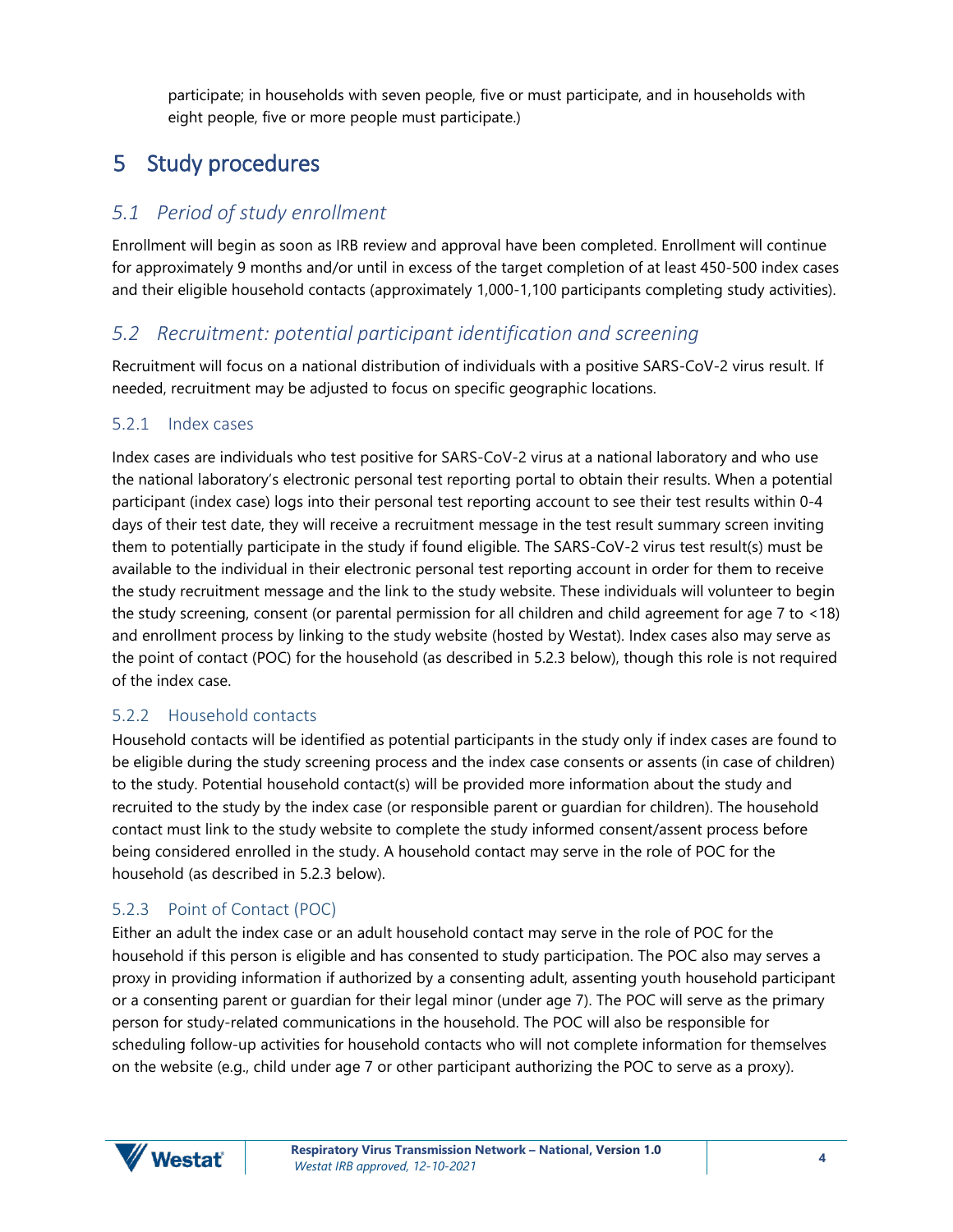participate; in households with seven people, five or must participate, and in households with eight people, five or more people must participate.)

# <span id="page-6-0"></span>5 Study procedures

## <span id="page-6-1"></span>*5.1 Period of study enrollment*

Enrollment will begin as soon as IRB review and approval have been completed. Enrollment will continue for approximately 9 months and/or until in excess of the target completion of at least 450-500 index cases and their eligible household contacts (approximately 1,000-1,100 participants completing study activities).

### <span id="page-6-2"></span>*5.2 Recruitment: potential participant identification and screening*

Recruitment will focus on a national distribution of individuals with a positive SARS-CoV-2 virus result. If needed, recruitment may be adjusted to focus on specific geographic locations.

#### <span id="page-6-3"></span>5.2.1 Index cases

Index cases are individuals who test positive for SARS-CoV-2 virus at a national laboratory and who use the national laboratory's electronic personal test reporting portal to obtain their results. When a potential participant (index case) logs into their personal test reporting account to see their test results within 0-4 days of their test date, they will receive a recruitment message in the test result summary screen inviting them to potentially participate in the study if found eligible. The SARS-CoV-2 virus test result(s) must be available to the individual in their electronic personal test reporting account in order for them to receive the study recruitment message and the link to the study website. These individuals will volunteer to begin the study screening, consent (or parental permission for all children and child agreement for age 7 to <18) and enrollment process by linking to the study website (hosted by Westat). Index cases also may serve as the point of contact (POC) for the household (as described in 5.2.3 below), though this role is not required of the index case.

#### <span id="page-6-4"></span>5.2.2 Household contacts

Household contacts will be identified as potential participants in the study only if index cases are found to be eligible during the study screening process and the index case consents or assents (in case of children) to the study. Potential household contact(s) will be provided more information about the study and recruited to the study by the index case (or responsible parent or guardian for children). The household contact must link to the study website to complete the study informed consent/assent process before being considered enrolled in the study. A household contact may serve in the role of POC for the household (as described in 5.2.3 below).

#### <span id="page-6-5"></span>5.2.3 Point of Contact (POC)

Either an adult the index case or an adult household contact may serve in the role of POC for the household if this person is eligible and has consented to study participation. The POC also may serves a proxy in providing information if authorized by a consenting adult, assenting youth household participant or a consenting parent or guardian for their legal minor (under age 7). The POC will serve as the primary person for study-related communications in the household. The POC will also be responsible for scheduling follow-up activities for household contacts who will not complete information for themselves on the website (e.g., child under age 7 or other participant authorizing the POC to serve as a proxy).

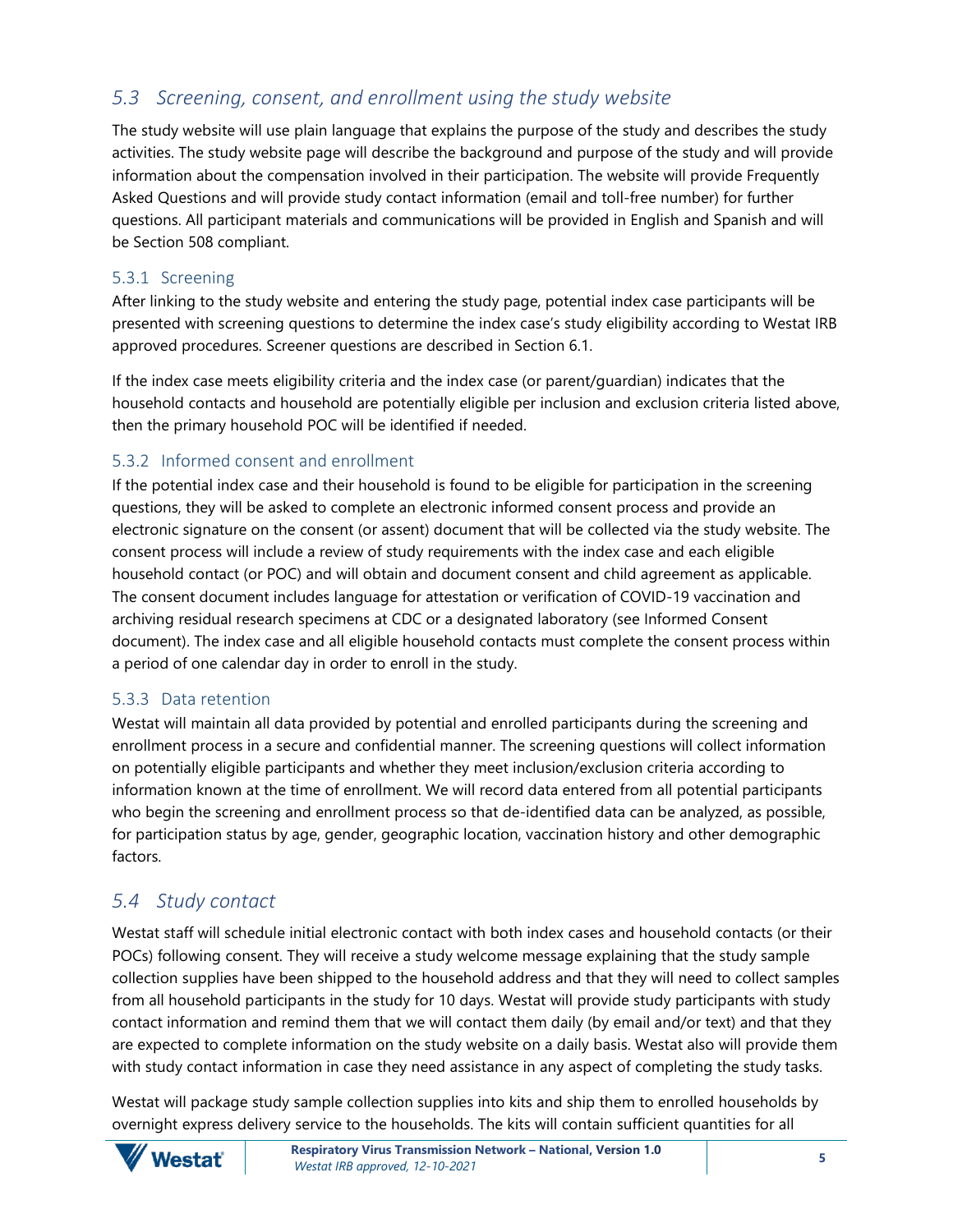### <span id="page-7-0"></span>*5.3 Screening, consent, and enrollment using the study website*

The study website will use plain language that explains the purpose of the study and describes the study activities. The study website page will describe the background and purpose of the study and will provide information about the compensation involved in their participation. The website will provide Frequently Asked Questions and will provide study contact information (email and toll-free number) for further questions. All participant materials and communications will be provided in English and Spanish and will be Section 508 compliant.

#### <span id="page-7-1"></span>5.3.1 Screening

After linking to the study website and entering the study page, potential index case participants will be presented with screening questions to determine the index case's study eligibility according to Westat IRB approved procedures. Screener questions are described in Section 6.1.

If the index case meets eligibility criteria and the index case (or parent/guardian) indicates that the household contacts and household are potentially eligible per inclusion and exclusion criteria listed above, then the primary household POC will be identified if needed.

#### <span id="page-7-2"></span>5.3.2 Informed consent and enrollment

If the potential index case and their household is found to be eligible for participation in the screening questions, they will be asked to complete an electronic informed consent process and provide an electronic signature on the consent (or assent) document that will be collected via the study website. The consent process will include a review of study requirements with the index case and each eligible household contact (or POC) and will obtain and document consent and child agreement as applicable. The consent document includes language for attestation or verification of COVID-19 vaccination and archiving residual research specimens at CDC or a designated laboratory (see Informed Consent document). The index case and all eligible household contacts must complete the consent process within a period of one calendar day in order to enroll in the study.

#### <span id="page-7-3"></span>5.3.3 Data retention

Westat will maintain all data provided by potential and enrolled participants during the screening and enrollment process in a secure and confidential manner. The screening questions will collect information on potentially eligible participants and whether they meet inclusion/exclusion criteria according to information known at the time of enrollment. We will record data entered from all potential participants who begin the screening and enrollment process so that de-identified data can be analyzed, as possible, for participation status by age, gender, geographic location, vaccination history and other demographic factors.

#### <span id="page-7-4"></span>*5.4 Study contact*

Westat staff will schedule initial electronic contact with both index cases and household contacts (or their POCs) following consent. They will receive a study welcome message explaining that the study sample collection supplies have been shipped to the household address and that they will need to collect samples from all household participants in the study for 10 days. Westat will provide study participants with study contact information and remind them that we will contact them daily (by email and/or text) and that they are expected to complete information on the study website on a daily basis. Westat also will provide them with study contact information in case they need assistance in any aspect of completing the study tasks.

Westat will package study sample collection supplies into kits and ship them to enrolled households by overnight express delivery service to the households. The kits will contain sufficient quantities for all

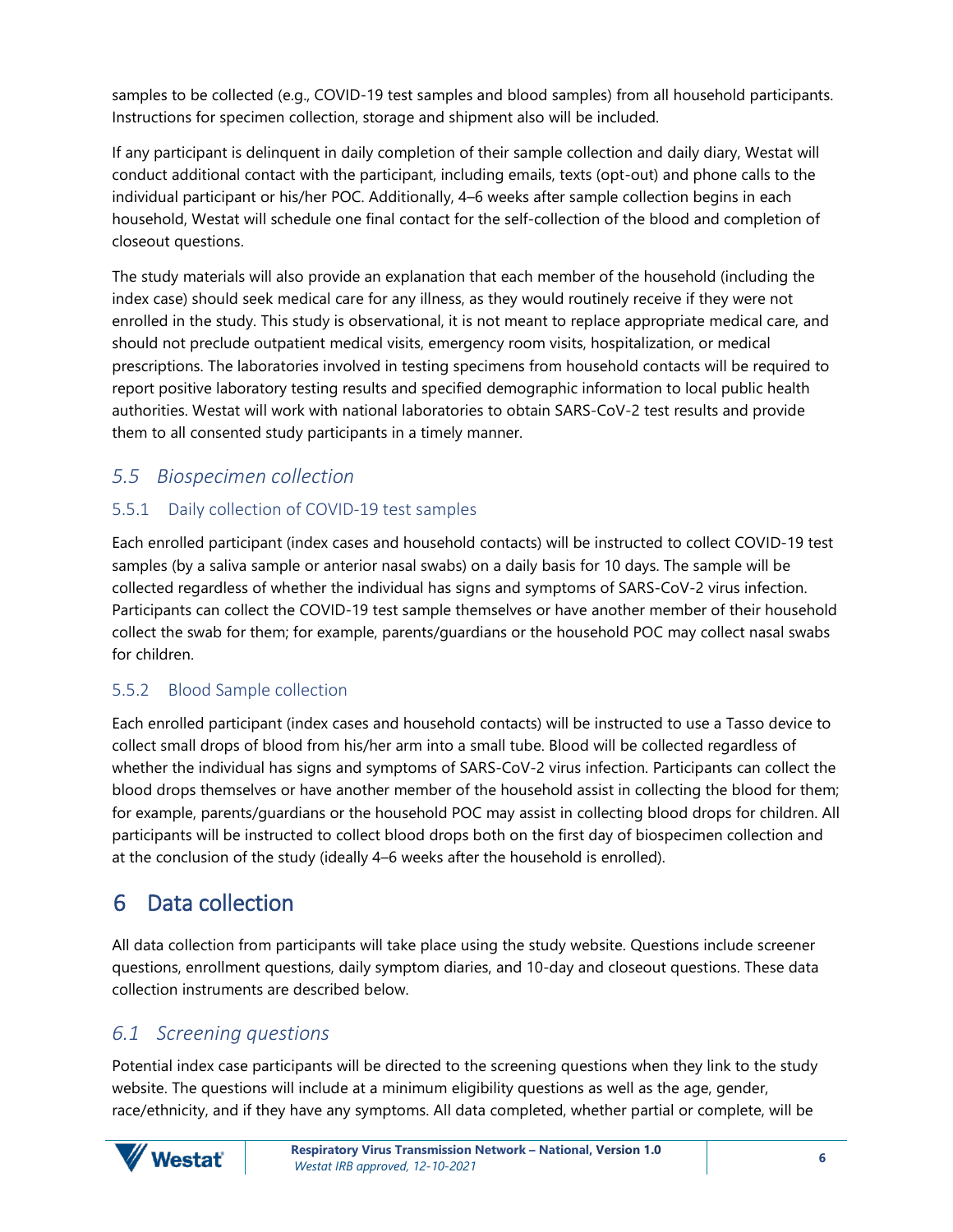samples to be collected (e.g., COVID-19 test samples and blood samples) from all household participants. Instructions for specimen collection, storage and shipment also will be included.

If any participant is delinquent in daily completion of their sample collection and daily diary, Westat will conduct additional contact with the participant, including emails, texts (opt-out) and phone calls to the individual participant or his/her POC. Additionally, 4–6 weeks after sample collection begins in each household, Westat will schedule one final contact for the self-collection of the blood and completion of closeout questions.

The study materials will also provide an explanation that each member of the household (including the index case) should seek medical care for any illness, as they would routinely receive if they were not enrolled in the study. This study is observational, it is not meant to replace appropriate medical care, and should not preclude outpatient medical visits, emergency room visits, hospitalization, or medical prescriptions. The laboratories involved in testing specimens from household contacts will be required to report positive laboratory testing results and specified demographic information to local public health authorities. Westat will work with national laboratories to obtain SARS-CoV-2 test results and provide them to all consented study participants in a timely manner.

## <span id="page-8-0"></span>*5.5 Biospecimen collection*

### <span id="page-8-1"></span>5.5.1 Daily collection of COVID-19 test samples

Each enrolled participant (index cases and household contacts) will be instructed to collect COVID-19 test samples (by a saliva sample or anterior nasal swabs) on a daily basis for 10 days. The sample will be collected regardless of whether the individual has signs and symptoms of SARS-CoV-2 virus infection. Participants can collect the COVID-19 test sample themselves or have another member of their household collect the swab for them; for example, parents/guardians or the household POC may collect nasal swabs for children.

#### <span id="page-8-2"></span>5.5.2 Blood Sample collection

Each enrolled participant (index cases and household contacts) will be instructed to use a Tasso device to collect small drops of blood from his/her arm into a small tube. Blood will be collected regardless of whether the individual has signs and symptoms of SARS-CoV-2 virus infection. Participants can collect the blood drops themselves or have another member of the household assist in collecting the blood for them; for example, parents/guardians or the household POC may assist in collecting blood drops for children. All participants will be instructed to collect blood drops both on the first day of biospecimen collection and at the conclusion of the study (ideally 4–6 weeks after the household is enrolled).

# <span id="page-8-3"></span>6 Data collection

All data collection from participants will take place using the study website. Questions include screener questions, enrollment questions, daily symptom diaries, and 10-day and closeout questions. These data collection instruments are described below.

## <span id="page-8-4"></span>*6.1 Screening questions*

Potential index case participants will be directed to the screening questions when they link to the study website. The questions will include at a minimum eligibility questions as well as the age, gender, race/ethnicity, and if they have any symptoms. All data completed, whether partial or complete, will be

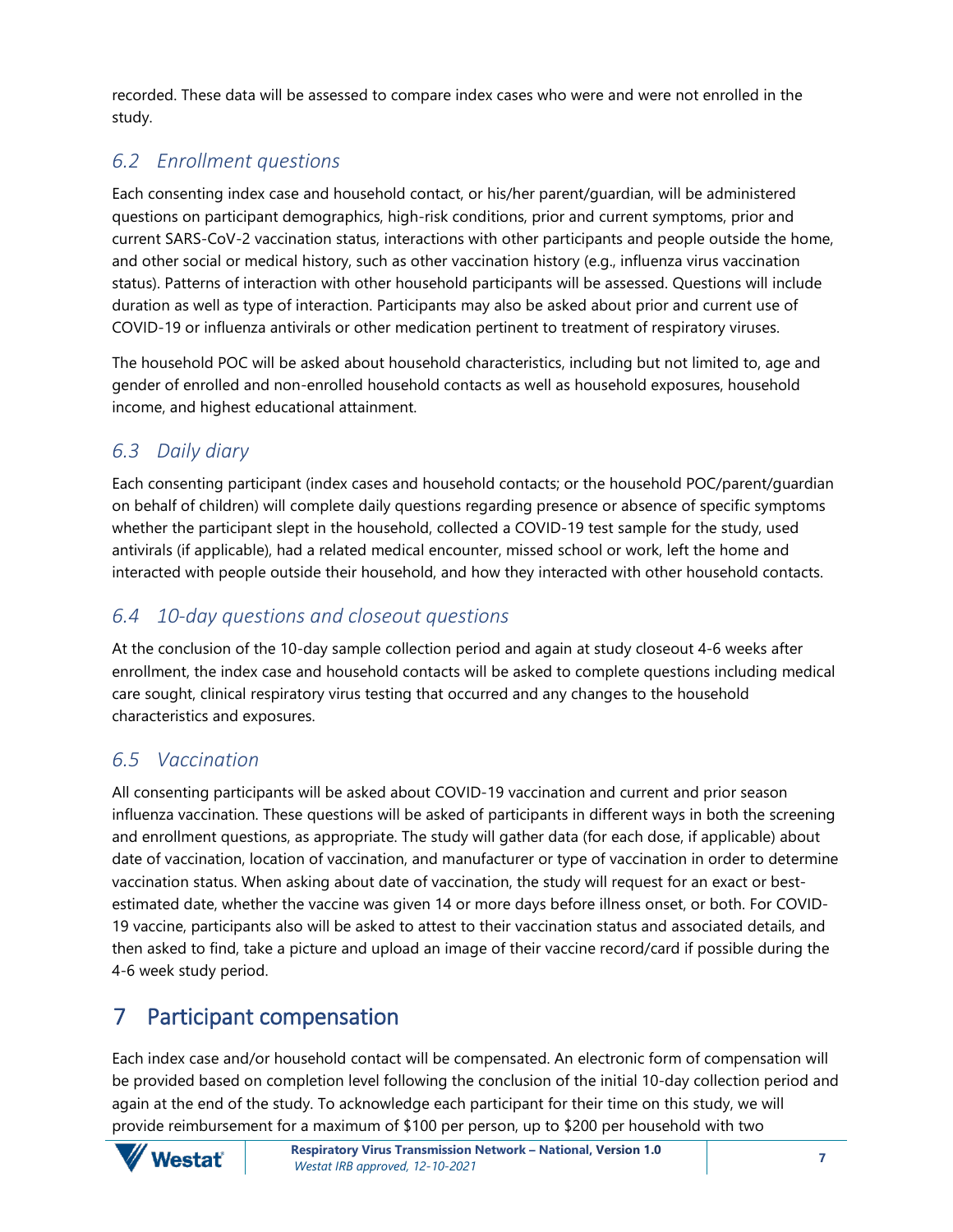recorded. These data will be assessed to compare index cases who were and were not enrolled in the study.

## <span id="page-9-0"></span>*6.2 Enrollment questions*

Each consenting index case and household contact, or his/her parent/guardian, will be administered questions on participant demographics, high-risk conditions, prior and current symptoms, prior and current SARS-CoV-2 vaccination status, interactions with other participants and people outside the home, and other social or medical history, such as other vaccination history (e.g., influenza virus vaccination status). Patterns of interaction with other household participants will be assessed. Questions will include duration as well as type of interaction. Participants may also be asked about prior and current use of COVID-19 or influenza antivirals or other medication pertinent to treatment of respiratory viruses.

The household POC will be asked about household characteristics, including but not limited to, age and gender of enrolled and non-enrolled household contacts as well as household exposures, household income, and highest educational attainment.

### <span id="page-9-1"></span>*6.3 Daily diary*

Each consenting participant (index cases and household contacts; or the household POC/parent/guardian on behalf of children) will complete daily questions regarding presence or absence of specific symptoms whether the participant slept in the household, collected a COVID-19 test sample for the study, used antivirals (if applicable), had a related medical encounter, missed school or work, left the home and interacted with people outside their household, and how they interacted with other household contacts.

### <span id="page-9-2"></span>*6.4 10-day questions and closeout questions*

At the conclusion of the 10-day sample collection period and again at study closeout 4-6 weeks after enrollment, the index case and household contacts will be asked to complete questions including medical care sought, clinical respiratory virus testing that occurred and any changes to the household characteristics and exposures.

### <span id="page-9-3"></span>*6.5 Vaccination*

All consenting participants will be asked about COVID-19 vaccination and current and prior season influenza vaccination. These questions will be asked of participants in different ways in both the screening and enrollment questions, as appropriate. The study will gather data (for each dose, if applicable) about date of vaccination, location of vaccination, and manufacturer or type of vaccination in order to determine vaccination status. When asking about date of vaccination, the study will request for an exact or bestestimated date, whether the vaccine was given 14 or more days before illness onset, or both. For COVID-19 vaccine, participants also will be asked to attest to their vaccination status and associated details, and then asked to find, take a picture and upload an image of their vaccine record/card if possible during the 4-6 week study period.

# <span id="page-9-4"></span>7 Participant compensation

Each index case and/or household contact will be compensated. An electronic form of compensation will be provided based on completion level following the conclusion of the initial 10-day collection period and again at the end of the study. To acknowledge each participant for their time on this study, we will provide reimbursement for a maximum of \$100 per person, up to \$200 per household with two

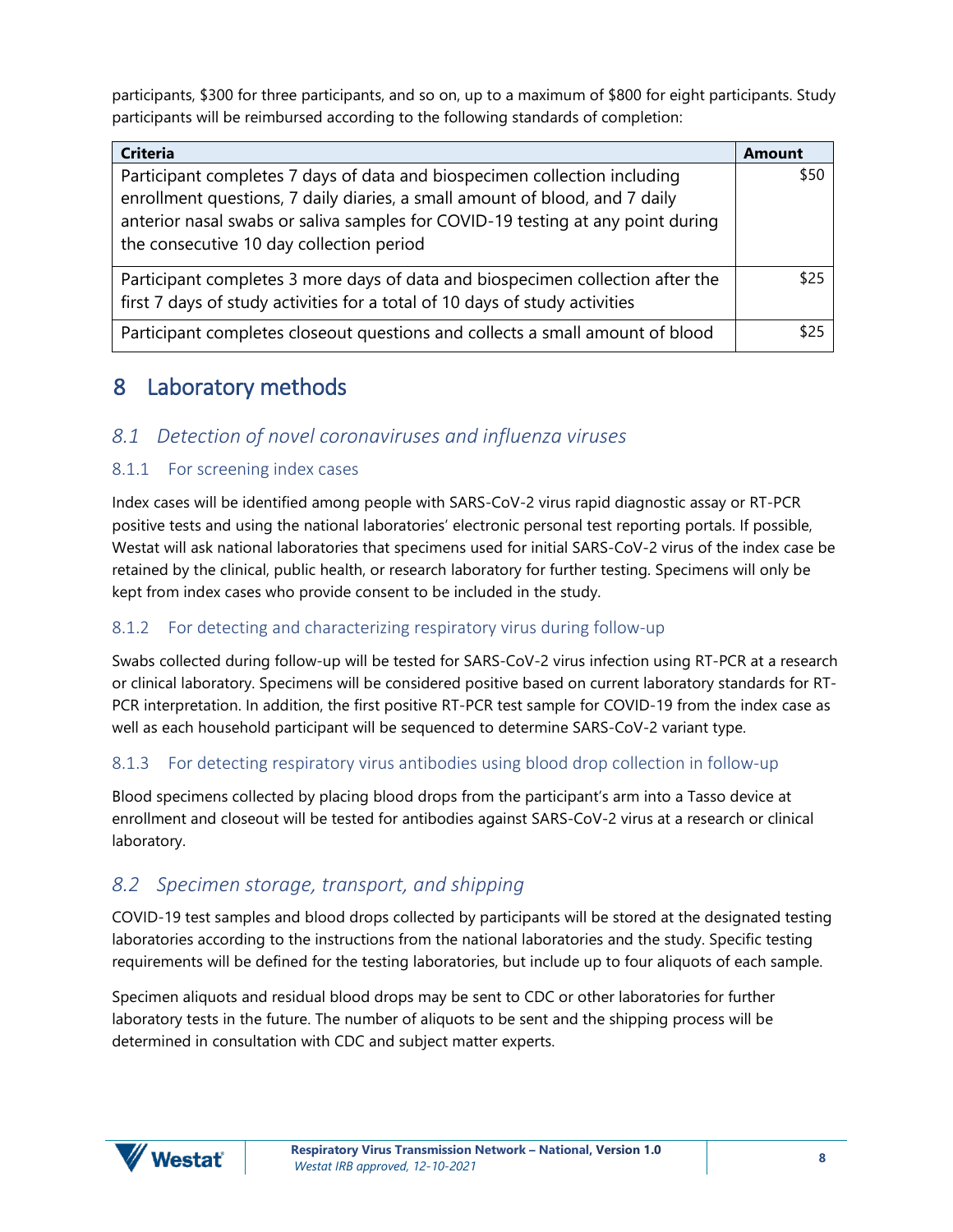participants, \$300 for three participants, and so on, up to a maximum of \$800 for eight participants. Study participants will be reimbursed according to the following standards of completion:

| <b>Criteria</b>                                                                                                                                                                                                                                                                         | Amount |
|-----------------------------------------------------------------------------------------------------------------------------------------------------------------------------------------------------------------------------------------------------------------------------------------|--------|
| Participant completes 7 days of data and biospecimen collection including<br>enrollment questions, 7 daily diaries, a small amount of blood, and 7 daily<br>anterior nasal swabs or saliva samples for COVID-19 testing at any point during<br>the consecutive 10 day collection period | \$50   |
| Participant completes 3 more days of data and biospecimen collection after the<br>first 7 days of study activities for a total of 10 days of study activities                                                                                                                           | \$25   |
| Participant completes closeout questions and collects a small amount of blood                                                                                                                                                                                                           | \$25   |

# <span id="page-10-0"></span>8 Laboratory methods

### <span id="page-10-1"></span>*8.1 Detection of novel coronaviruses and influenza viruses*

#### <span id="page-10-2"></span>8.1.1 For screening index cases

Index cases will be identified among people with SARS-CoV-2 virus rapid diagnostic assay or RT-PCR positive tests and using the national laboratories' electronic personal test reporting portals. If possible, Westat will ask national laboratories that specimens used for initial SARS-CoV-2 virus of the index case be retained by the clinical, public health, or research laboratory for further testing. Specimens will only be kept from index cases who provide consent to be included in the study.

#### <span id="page-10-3"></span>8.1.2 For detecting and characterizing respiratory virus during follow-up

Swabs collected during follow-up will be tested for SARS-CoV-2 virus infection using RT-PCR at a research or clinical laboratory. Specimens will be considered positive based on current laboratory standards for RT-PCR interpretation. In addition, the first positive RT-PCR test sample for COVID-19 from the index case as well as each household participant will be sequenced to determine SARS-CoV-2 variant type.

#### <span id="page-10-4"></span>8.1.3 For detecting respiratory virus antibodies using blood drop collection in follow-up

Blood specimens collected by placing blood drops from the participant's arm into a Tasso device at enrollment and closeout will be tested for antibodies against SARS-CoV-2 virus at a research or clinical laboratory.

### <span id="page-10-5"></span>*8.2 Specimen storage, transport, and shipping*

COVID-19 test samples and blood drops collected by participants will be stored at the designated testing laboratories according to the instructions from the national laboratories and the study. Specific testing requirements will be defined for the testing laboratories, but include up to four aliquots of each sample.

Specimen aliquots and residual blood drops may be sent to CDC or other laboratories for further laboratory tests in the future. The number of aliquots to be sent and the shipping process will be determined in consultation with CDC and subject matter experts.

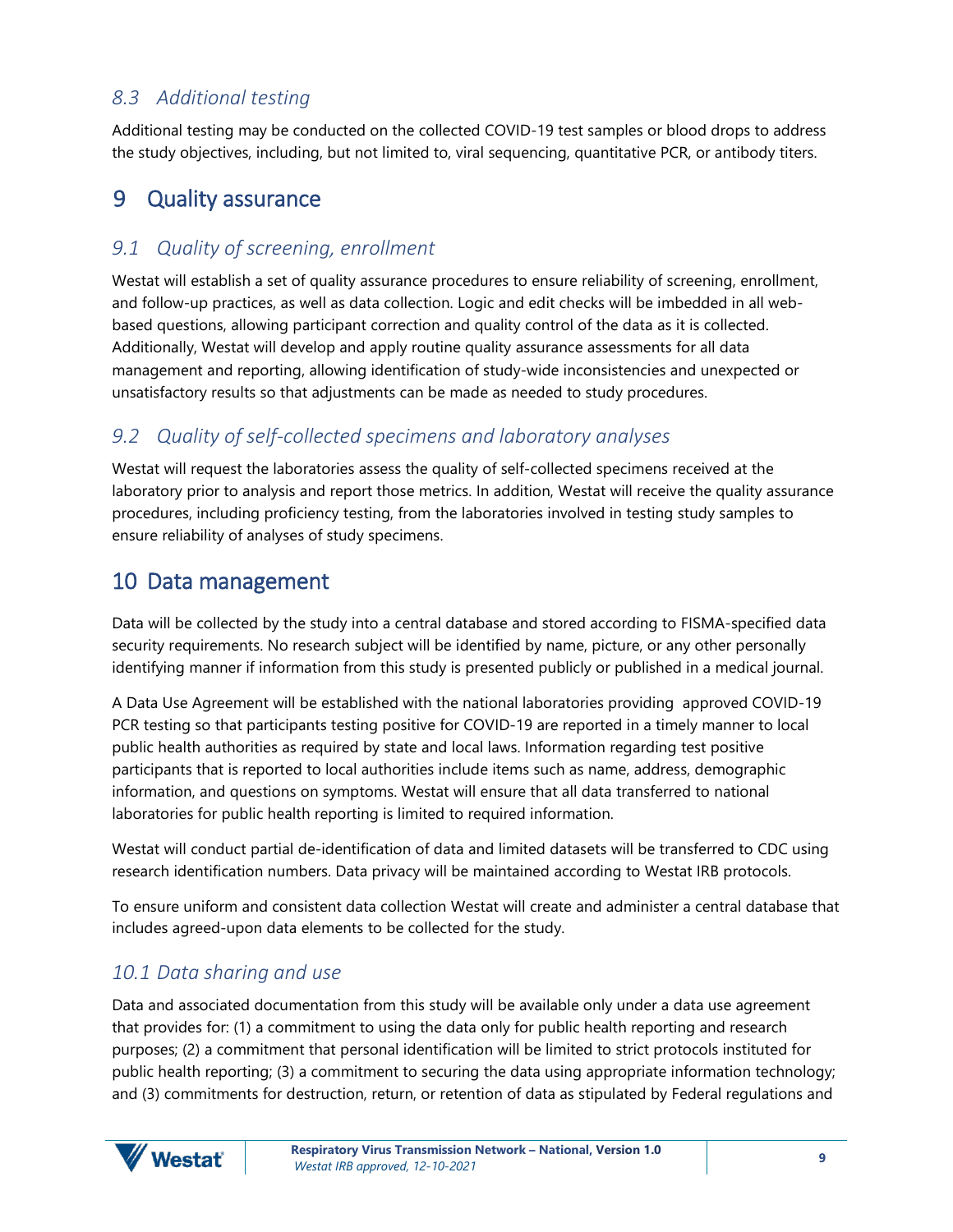## <span id="page-11-0"></span>*8.3 Additional testing*

Additional testing may be conducted on the collected COVID-19 test samples or blood drops to address the study objectives, including, but not limited to, viral sequencing, quantitative PCR, or antibody titers.

## <span id="page-11-1"></span>9 Quality assurance

#### <span id="page-11-2"></span>*9.1 Quality of screening, enrollment*

Westat will establish a set of quality assurance procedures to ensure reliability of screening, enrollment, and follow-up practices, as well as data collection. Logic and edit checks will be imbedded in all webbased questions, allowing participant correction and quality control of the data as it is collected. Additionally, Westat will develop and apply routine quality assurance assessments for all data management and reporting, allowing identification of study-wide inconsistencies and unexpected or unsatisfactory results so that adjustments can be made as needed to study procedures.

### <span id="page-11-3"></span>*9.2 Quality of self-collected specimens and laboratory analyses*

Westat will request the laboratories assess the quality of self-collected specimens received at the laboratory prior to analysis and report those metrics. In addition, Westat will receive the quality assurance procedures, including proficiency testing, from the laboratories involved in testing study samples to ensure reliability of analyses of study specimens.

### <span id="page-11-4"></span>10 Data management

Data will be collected by the study into a central database and stored according to FISMA-specified data security requirements. No research subject will be identified by name, picture, or any other personally identifying manner if information from this study is presented publicly or published in a medical journal.

A Data Use Agreement will be established with the national laboratories providing approved COVID-19 PCR testing so that participants testing positive for COVID-19 are reported in a timely manner to local public health authorities as required by state and local laws. Information regarding test positive participants that is reported to local authorities include items such as name, address, demographic information, and questions on symptoms. Westat will ensure that all data transferred to national laboratories for public health reporting is limited to required information.

Westat will conduct partial de-identification of data and limited datasets will be transferred to CDC using research identification numbers. Data privacy will be maintained according to Westat IRB protocols.

To ensure uniform and consistent data collection Westat will create and administer a central database that includes agreed-upon data elements to be collected for the study.

### <span id="page-11-5"></span>*10.1 Data sharing and use*

Data and associated documentation from this study will be available only under a data use agreement that provides for: (1) a commitment to using the data only for public health reporting and research purposes; (2) a commitment that personal identification will be limited to strict protocols instituted for public health reporting; (3) a commitment to securing the data using appropriate information technology; and (3) commitments for destruction, return, or retention of data as stipulated by Federal regulations and

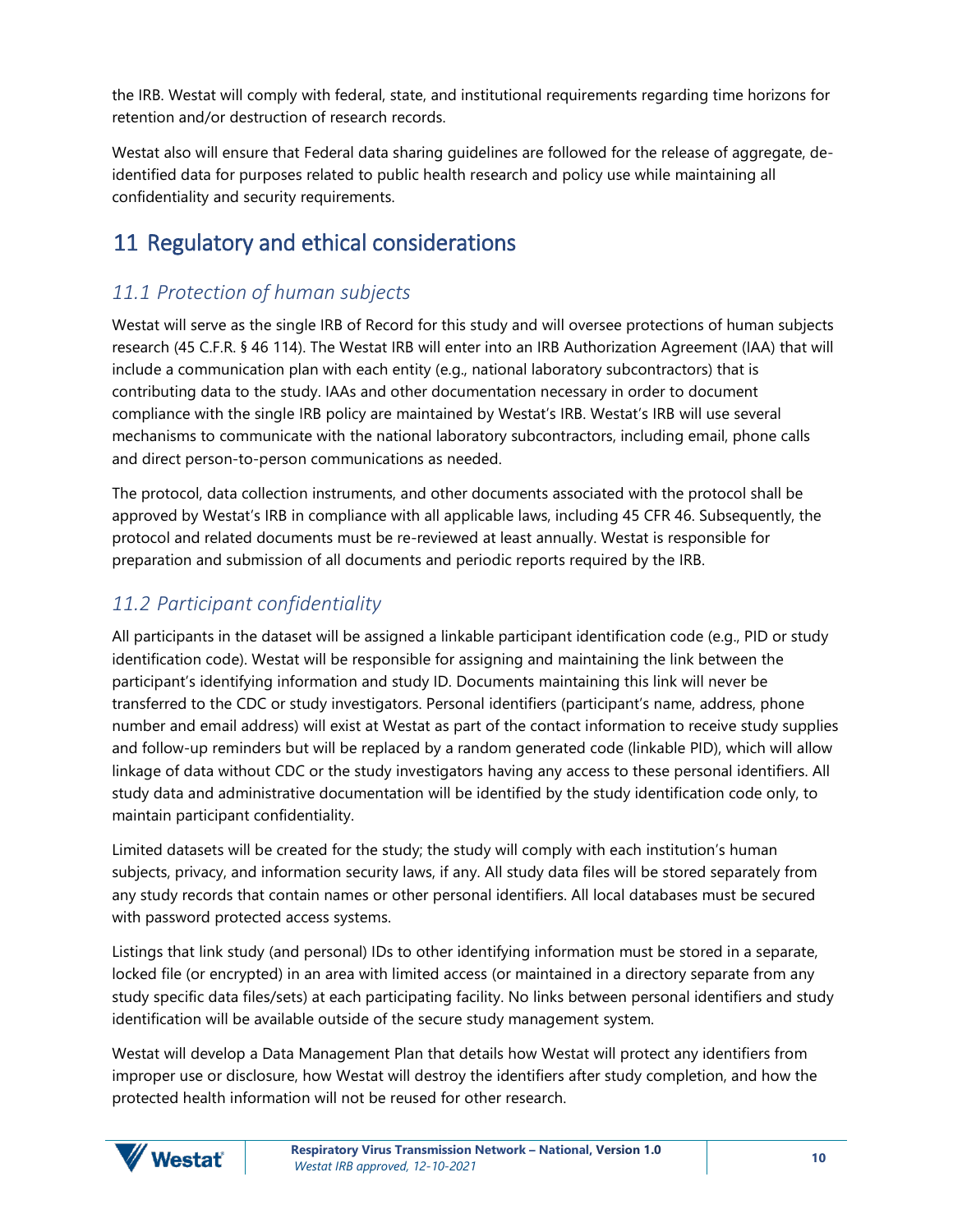the IRB. Westat will comply with federal, state, and institutional requirements regarding time horizons for retention and/or destruction of research records.

Westat also will ensure that Federal data sharing guidelines are followed for the release of aggregate, deidentified data for purposes related to public health research and policy use while maintaining all confidentiality and security requirements.

# <span id="page-12-0"></span>11 Regulatory and ethical considerations

## <span id="page-12-1"></span>*11.1 Protection of human subjects*

Westat will serve as the single IRB of Record for this study and will oversee protections of human subjects research (45 C.F.R. § 46 114). The Westat IRB will enter into an IRB Authorization Agreement (IAA) that will include a communication plan with each entity (e.g., national laboratory subcontractors) that is contributing data to the study. IAAs and other documentation necessary in order to document compliance with the single IRB policy are maintained by Westat's IRB. Westat's IRB will use several mechanisms to communicate with the national laboratory subcontractors, including email, phone calls and direct person-to-person communications as needed.

The protocol, data collection instruments, and other documents associated with the protocol shall be approved by Westat's IRB in compliance with all applicable laws, including 45 CFR 46. Subsequently, the protocol and related documents must be re-reviewed at least annually. Westat is responsible for preparation and submission of all documents and periodic reports required by the IRB.

### <span id="page-12-2"></span>*11.2 Participant confidentiality*

All participants in the dataset will be assigned a linkable participant identification code (e.g., PID or study identification code). Westat will be responsible for assigning and maintaining the link between the participant's identifying information and study ID. Documents maintaining this link will never be transferred to the CDC or study investigators. Personal identifiers (participant's name, address, phone number and email address) will exist at Westat as part of the contact information to receive study supplies and follow-up reminders but will be replaced by a random generated code (linkable PID), which will allow linkage of data without CDC or the study investigators having any access to these personal identifiers. All study data and administrative documentation will be identified by the study identification code only, to maintain participant confidentiality.

Limited datasets will be created for the study; the study will comply with each institution's human subjects, privacy, and information security laws, if any. All study data files will be stored separately from any study records that contain names or other personal identifiers. All local databases must be secured with password protected access systems.

Listings that link study (and personal) IDs to other identifying information must be stored in a separate, locked file (or encrypted) in an area with limited access (or maintained in a directory separate from any study specific data files/sets) at each participating facility. No links between personal identifiers and study identification will be available outside of the secure study management system.

Westat will develop a Data Management Plan that details how Westat will protect any identifiers from improper use or disclosure, how Westat will destroy the identifiers after study completion, and how the protected health information will not be reused for other research.

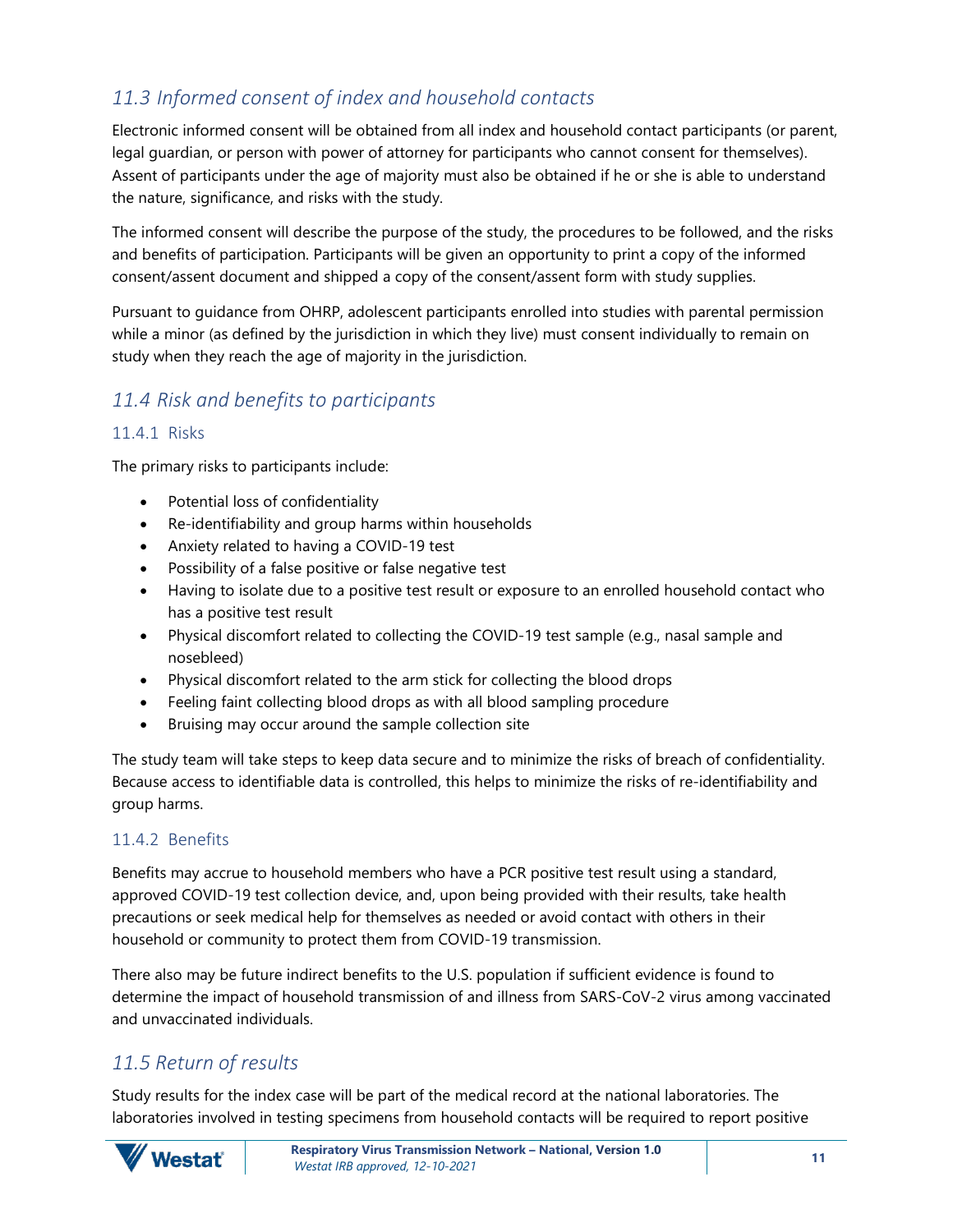## <span id="page-13-0"></span>*11.3 Informed consent of index and household contacts*

Electronic informed consent will be obtained from all index and household contact participants (or parent, legal guardian, or person with power of attorney for participants who cannot consent for themselves). Assent of participants under the age of majority must also be obtained if he or she is able to understand the nature, significance, and risks with the study.

The informed consent will describe the purpose of the study, the procedures to be followed, and the risks and benefits of participation. Participants will be given an opportunity to print a copy of the informed consent/assent document and shipped a copy of the consent/assent form with study supplies.

Pursuant to guidance from OHRP, adolescent participants enrolled into studies with parental permission while a minor (as defined by the jurisdiction in which they live) must consent individually to remain on study when they reach the age of majority in the jurisdiction.

## <span id="page-13-1"></span>*11.4 Risk and benefits to participants*

#### <span id="page-13-2"></span>11.4.1 Risks

The primary risks to participants include:

- Potential loss of confidentiality
- Re-identifiability and group harms within households
- Anxiety related to having a COVID-19 test
- Possibility of a false positive or false negative test
- Having to isolate due to a positive test result or exposure to an enrolled household contact who has a positive test result
- Physical discomfort related to collecting the COVID-19 test sample (e.g., nasal sample and nosebleed)
- Physical discomfort related to the arm stick for collecting the blood drops
- Feeling faint collecting blood drops as with all blood sampling procedure
- Bruising may occur around the sample collection site

The study team will take steps to keep data secure and to minimize the risks of breach of confidentiality. Because access to identifiable data is controlled, this helps to minimize the risks of re-identifiability and group harms.

#### <span id="page-13-3"></span>11.4.2 Benefits

Benefits may accrue to household members who have a PCR positive test result using a standard, approved COVID-19 test collection device, and, upon being provided with their results, take health precautions or seek medical help for themselves as needed or avoid contact with others in their household or community to protect them from COVID-19 transmission.

There also may be future indirect benefits to the U.S. population if sufficient evidence is found to determine the impact of household transmission of and illness from SARS-CoV-2 virus among vaccinated and unvaccinated individuals.

### <span id="page-13-4"></span>*11.5 Return of results*

Study results for the index case will be part of the medical record at the national laboratories. The laboratories involved in testing specimens from household contacts will be required to report positive